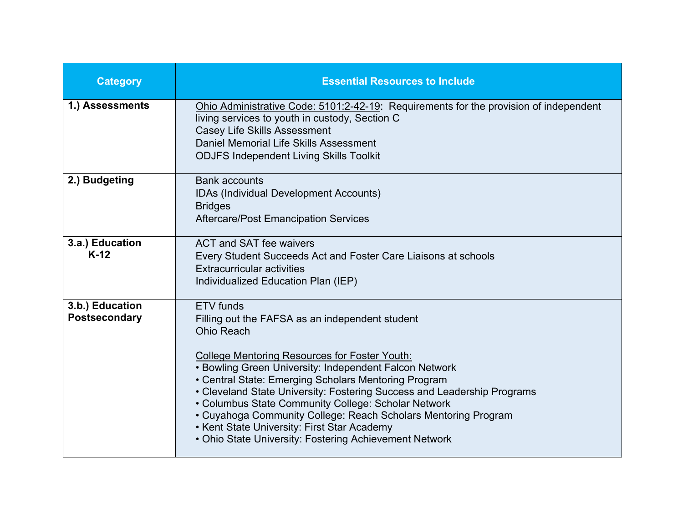| <b>Category</b>                         | <b>Essential Resources to Include</b>                                                                                                                                                                                                                                                                                                                                                                                                                                                                                                                                           |
|-----------------------------------------|---------------------------------------------------------------------------------------------------------------------------------------------------------------------------------------------------------------------------------------------------------------------------------------------------------------------------------------------------------------------------------------------------------------------------------------------------------------------------------------------------------------------------------------------------------------------------------|
| 1.) Assessments                         | Ohio Administrative Code: 5101:2-42-19: Requirements for the provision of independent<br>living services to youth in custody, Section C<br><b>Casey Life Skills Assessment</b><br>Daniel Memorial Life Skills Assessment<br><b>ODJFS Independent Living Skills Toolkit</b>                                                                                                                                                                                                                                                                                                      |
| 2.) Budgeting                           | <b>Bank accounts</b><br>IDAs (Individual Development Accounts)<br><b>Bridges</b><br><b>Aftercare/Post Emancipation Services</b>                                                                                                                                                                                                                                                                                                                                                                                                                                                 |
| 3.a.) Education<br>$K-12$               | ACT and SAT fee waivers<br>Every Student Succeeds Act and Foster Care Liaisons at schools<br><b>Extracurricular activities</b><br>Individualized Education Plan (IEP)                                                                                                                                                                                                                                                                                                                                                                                                           |
| 3.b.) Education<br><b>Postsecondary</b> | <b>ETV</b> funds<br>Filling out the FAFSA as an independent student<br><b>Ohio Reach</b><br><b>College Mentoring Resources for Foster Youth:</b><br>• Bowling Green University: Independent Falcon Network<br>• Central State: Emerging Scholars Mentoring Program<br>• Cleveland State University: Fostering Success and Leadership Programs<br>• Columbus State Community College: Scholar Network<br>• Cuyahoga Community College: Reach Scholars Mentoring Program<br>• Kent State University: First Star Academy<br>• Ohio State University: Fostering Achievement Network |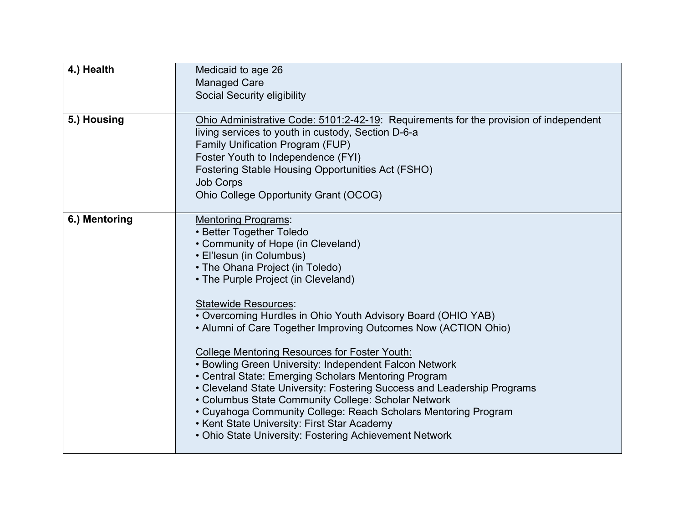| 4.) Health    | Medicaid to age 26                                                                                                                                                                                                                                                                                                                                                                                                                                                                                                                                                                                                                                                                                                                                                                                                                                         |
|---------------|------------------------------------------------------------------------------------------------------------------------------------------------------------------------------------------------------------------------------------------------------------------------------------------------------------------------------------------------------------------------------------------------------------------------------------------------------------------------------------------------------------------------------------------------------------------------------------------------------------------------------------------------------------------------------------------------------------------------------------------------------------------------------------------------------------------------------------------------------------|
|               | <b>Managed Care</b><br><b>Social Security eligibility</b>                                                                                                                                                                                                                                                                                                                                                                                                                                                                                                                                                                                                                                                                                                                                                                                                  |
| 5.) Housing   | Ohio Administrative Code: 5101:2-42-19: Requirements for the provision of independent<br>living services to youth in custody, Section D-6-a<br>Family Unification Program (FUP)<br>Foster Youth to Independence (FYI)<br>Fostering Stable Housing Opportunities Act (FSHO)<br><b>Job Corps</b><br>Ohio College Opportunity Grant (OCOG)                                                                                                                                                                                                                                                                                                                                                                                                                                                                                                                    |
| 6.) Mentoring | <b>Mentoring Programs:</b><br>• Better Together Toledo<br>• Community of Hope (in Cleveland)<br>• El'lesun (in Columbus)<br>• The Ohana Project (in Toledo)<br>• The Purple Project (in Cleveland)<br><b>Statewide Resources:</b><br>• Overcoming Hurdles in Ohio Youth Advisory Board (OHIO YAB)<br>• Alumni of Care Together Improving Outcomes Now (ACTION Ohio)<br><b>College Mentoring Resources for Foster Youth:</b><br>• Bowling Green University: Independent Falcon Network<br>• Central State: Emerging Scholars Mentoring Program<br>• Cleveland State University: Fostering Success and Leadership Programs<br>• Columbus State Community College: Scholar Network<br>• Cuyahoga Community College: Reach Scholars Mentoring Program<br>• Kent State University: First Star Academy<br>• Ohio State University: Fostering Achievement Network |